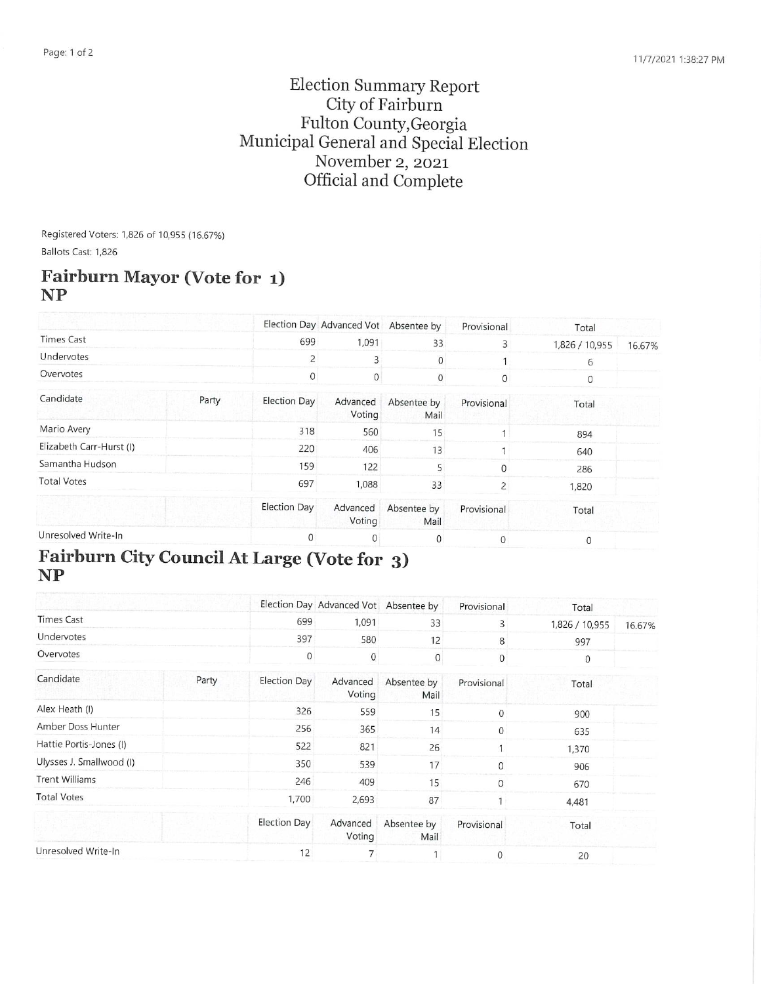### Election Summary Report City of Fairburn Fulton County,Georgia Municipal General and Special Election November 2, 2021 Official and Complete

Registered Voters: 1,826 of 10,955 (16.67%) Ballots Cast: 1,826

#### Fairburn Mayor (Vote for 1) NP

|                          |       |              | Election Day Advanced Vot Absentee by |                     | Provisional  | Total          |        |
|--------------------------|-------|--------------|---------------------------------------|---------------------|--------------|----------------|--------|
| <b>Times Cast</b>        |       | 699          | 1,091                                 | 33                  | 3            | 1,826 / 10,955 | 16.67% |
| Undervotes               |       | 2            | 3                                     | $\mathbf{0}$        |              | 6              |        |
| Overvotes                |       | 0            | $\bf 0$                               | $\mathbf{0}$        | $\mathbf{0}$ | $\mathbf{0}$   |        |
| Candidate                | Party | Election Day | Advanced<br>Voting                    | Absentee by<br>Mail | Provisional  | Total          |        |
| Mario Avery              |       | 318          | 560                                   | 15                  |              | 894            |        |
| Elizabeth Carr-Hurst (I) |       | 220          | 406                                   | 13                  |              | 640            |        |
| Samantha Hudson          |       | 159          | 122                                   | 5                   | O            | 286            |        |
| <b>Total Votes</b>       |       | 697          | 1,088                                 | 33                  | 2            | 1,820          |        |
|                          |       | Election Day | Advanced<br>Voting                    | Absentee by<br>Mail | Provisional  | Total          |        |
| Unresolved Write-In      |       | $\mathbf{0}$ | 0                                     | 0                   |              | 0              |        |

# Fairburn City Council At Large (Vote for 3) NP

|                          |       |              | Election Day Advanced Vot Absentee by |                     | Provisional  | Total          |        |
|--------------------------|-------|--------------|---------------------------------------|---------------------|--------------|----------------|--------|
| <b>Times Cast</b>        |       | 699          | 1,091                                 | 33                  | 3            | 1,826 / 10,955 | 16.67% |
| Undervotes               |       | 397          | 580                                   | 12                  | 8            | 997            |        |
| Overvotes                |       | $\mathbf{0}$ | $\mathbf{0}$                          | $\mathbf{0}$        | $\mathbf 0$  | $\mathbf{0}$   |        |
| Candidate                | Party | Election Day | Advanced<br>Voting                    | Absentee by<br>Mail | Provisional  | Total          |        |
| Alex Heath (I)           |       | 326          | 559                                   | 15                  | $\Omega$     | 900            |        |
| Amber Doss Hunter        |       | 256          | 365                                   | 14                  | $\mathbf{0}$ | 635            |        |
| Hattie Portis-Jones (I)  |       | 522          | 821                                   | 26                  |              | 1,370          |        |
| Ulysses J. Smallwood (I) |       | 350          | 539                                   | 17                  | $\mathbf 0$  | 906            |        |
| <b>Trent Williams</b>    |       | 246          | 409                                   | 15                  | $\mathbf{0}$ | 670            |        |
| <b>Total Votes</b>       |       | 1,700        | 2,693                                 | 87                  |              | 4,481          |        |
|                          |       | Election Day | Advanced<br>Voting                    | Absentee by<br>Mail | Provisional  | Total          |        |
| Unresolved Write-In      |       | 12           |                                       |                     | 0            | 20             |        |